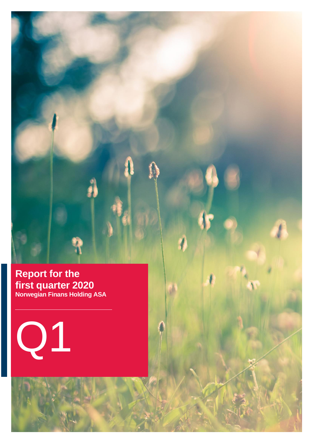

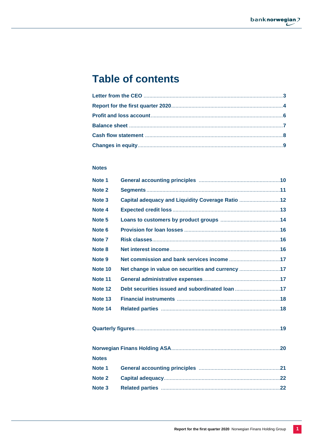# **Table of contents**

## **Notes**

| Note 1            |                                                   |  |
|-------------------|---------------------------------------------------|--|
| Note 2            |                                                   |  |
| Note <sub>3</sub> | Capital adequacy and Liquidity Coverage Ratio 12  |  |
| Note 4            |                                                   |  |
| Note <sub>5</sub> |                                                   |  |
| Note <sub>6</sub> |                                                   |  |
| Note <sub>7</sub> |                                                   |  |
| Note 8            |                                                   |  |
| Note 9            |                                                   |  |
| Note 10           | Net change in value on securities and currency 17 |  |
| Note 11           |                                                   |  |
| Note 12           | Debt securities issued and subordinated loan 17   |  |
| Note 13           |                                                   |  |
| Note 14           |                                                   |  |
|                   |                                                   |  |
|                   |                                                   |  |
| <b>Notes</b>      |                                                   |  |
| Note <sub>1</sub> |                                                   |  |
| Note 2            |                                                   |  |
| Note <sub>3</sub> |                                                   |  |
|                   |                                                   |  |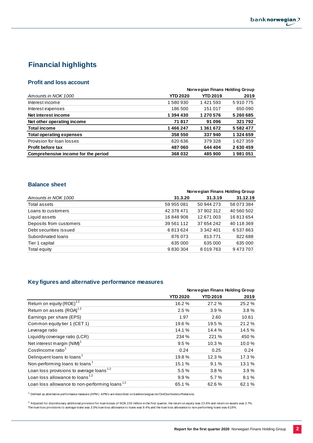## **Financial highlights**

## **Profit and loss account**

|                                     |                 | Norwegian Finans Holding Group |               |
|-------------------------------------|-----------------|--------------------------------|---------------|
| Amounts in NOK 1000                 | <b>YTD 2020</b> | <b>YTD 2019</b>                | 2019          |
| Interest income                     | 1580930         | 1421593                        | 5910775       |
| Interest expenses                   | 186 500         | 151 017                        | 650 090       |
| Net interest income                 | 1 394 430       | 1 270 576                      | 5 260 685     |
| Net other operating income          | 71817           | 91 096                         | 321792        |
| <b>Total income</b>                 | 1466247         | 1 361 672                      | 5 5 8 2 4 7 7 |
| <b>Total operating expenses</b>     | 358 550         | 337940                         | 1 324 659     |
| Provision for loan losses           | 620 636         | 379328                         | 1627359       |
| <b>Profit before tax</b>            | 487 060         | 644 404                        | 2630459       |
| Comprehensive income for the period | 368 032         | 485900                         | 1981051       |

 $\mathbf{r}$ 

 $\sim$ 

## **Balance sheet**

|                         | Norwegian Finans Holding Group |               |            |  |
|-------------------------|--------------------------------|---------------|------------|--|
| Amounts in NOK 1000     | 31.3.20                        | 31.3.19       | 31.12.19   |  |
| Total assets            | 59 955 081                     | 50 944 273    | 58 073 384 |  |
| Loans to customers      | 42 378 471                     | 37 902 312    | 40 560 502 |  |
| Liquid assets           | 16848908                       | 12 671 003    | 16813654   |  |
| Deposits from customers | 39 561 112                     | 37 654 242    | 40 118 369 |  |
| Debt securities issued  | 6813624                        | 3 3 4 2 4 0 1 | 6 537 863  |  |
| Subordinated loans      | 876 073                        | 813771        | 822 688    |  |
| Tier 1 capital          | 635 000                        | 635 000       | 635 000    |  |
| Total equity            | 9830304                        | 8 0 1 9 7 6 3 | 9473707    |  |

## **Key figures and alternative performance measures**

|                                                           | Norwegian Finans Holding Group |                 |        |  |
|-----------------------------------------------------------|--------------------------------|-----------------|--------|--|
|                                                           | <b>YTD 2020</b>                | <b>YTD 2019</b> | 2019   |  |
| Return on equity (ROE) <sup>12</sup>                      | 16.2%                          | 27.2 %          | 25.2%  |  |
| Return on assets (ROA) <sup>12</sup>                      | 2.5%                           | 3.9%            | 3.8%   |  |
| Earnings per share (EPS)                                  | 1.97                           | 2.60            | 10.61  |  |
| Common equity tier 1 (CET 1)                              | 19.6%                          | 19.5 %          | 21.2%  |  |
| Leverage ratio                                            | 14.1%                          | 14.4 %          | 14.5 % |  |
| Liquidity coverage ratio (LCR)                            | 234 %                          | 221 %           | 450 %  |  |
| Net interest margin (NIM) <sup>1</sup>                    | 9.5%                           | 10.3%           | 10.0%  |  |
| Cost/income ratio <sup>1</sup>                            | 0.24                           | 0.25            | 0.24   |  |
| Delinguent loans to loans <sup>1</sup>                    | 19.8%                          | 12.3 %          | 17.3%  |  |
| Non-performing loans to loans <sup>1</sup>                | 15.1 %                         | 9.1%            | 13.1 % |  |
| Loan loss provisions to average loans $12$                | 5.5 %                          | 3.8%            | 3.9%   |  |
| Loan loss allowance to loans <sup>12</sup>                | 9.9%                           | 5.7%            | 8.1%   |  |
| Loan loss allowance to non-performing loans <sup>12</sup> | 65.1 %                         | 62.6%           | 62.1 % |  |

 $1)$  Defined as alternative performance measure (APM). APM s are described on banknorwegian.no/OmOss/InvestorRelations.

 $^{2)}$  Adjusted for discretionary additional provision for loan losses of NOK 230 million in the first quarter, the return on equity was 23.9% and return on assets was 3.7%. The loan loss provisions to average loans was 3.5%, loan loss allowance to loans was 9.4%, and the loan loss allowance to non-performing loans was 61.9% .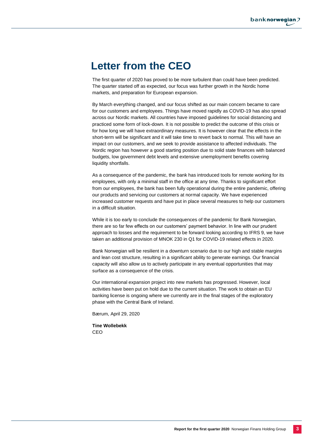# **Letter from the CEO**

The first quarter of 2020 has proved to be more turbulent than could have been predicted. The quarter started off as expected, our focus was further growth in the Nordic home markets, and preparation for European expansion.

By March everything changed, and our focus shifted as our main concern became to care for our customers and employees. Things have moved rapidly as COVID-19 has also spread across our Nordic markets. All countries have imposed guidelines for social distancing and practiced some form of lock-down. It is not possible to predict the outcome of this crisis or for how long we will have extraordinary measures. It is however clear that the effects in the short-term will be significant and it will take time to revert back to normal. This will have an impact on our customers, and we seek to provide assistance to affected individuals. The Nordic region has however a good starting position due to solid state finances with balanced budgets, low government debt levels and extensive unemployment benefits covering liquidity shortfalls.

As a consequence of the pandemic, the bank has introduced tools for remote working for its employees, with only a minimal staff in the office at any time. Thanks to significant effort from our employees, the bank has been fully operational during the entire pandemic, offering our products and servicing our customers at normal capacity. We have experienced increased customer requests and have put in place several measures to help our customers in a difficult situation.

While it is too early to conclude the consequences of the pandemic for Bank Norwegian, there are so far few effects on our customers' payment behavior. In line with our prudent approach to losses and the requirement to be forward looking according to IFRS 9, we have taken an additional provision of MNOK 230 in Q1 for COVID-19 related effects in 2020.

Bank Norwegian will be resilient in a downturn scenario due to our high and stable margins and lean cost structure, resulting in a significant ability to generate earnings. Our financial capacity will also allow us to actively participate in any eventual opportunities that may surface as a consequence of the crisis.

Our international expansion project into new markets has progressed. However, local activities have been put on hold due to the current situation. The work to obtain an EU banking license is ongoing where we currently are in the final stages of the exploratory phase with the Central Bank of Ireland.

Bærum, April 29, 2020

**Tine Wollebekk** CEO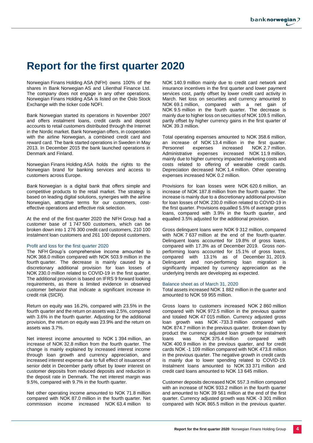# **Report for the first quarter 2020**

Norwegian Finans Holding ASA (NFH) owns 100% of the shares in Bank Norwegian AS and Lilienthal Finance Ltd. The company does not engage in any other operations. Norwegian Finans Holding ASA is listed on the Oslo Stock Exchange with the ticker code NOFI.

Bank Norwegian started its operations in November 2007 and offers instalment loans, credit cards and deposit accounts to retail customers distributed through the Internet in the Nordic market. Bank Norwegian offers, in cooperation with the airline Norwegian, a combined credit card and reward card. The bank started operations in Sweden in May 2013. In December 2015 the bank launched operations in Denmark and Finland.

Norwegian Finans Holding ASA holds the rights to the Norwegian brand for banking services and access to customers across Europe.

Bank Norwegian is a digital bank that offers simple and competitive products to the retail market. The strategy is based on leading digital solutions, synergies with the airline Norwegian, attractive terms for our customers, costeffective operations and effective risk selection.

At the end of the first quarter 2020 the NFH Group had a customer base of 1 747 500 customers, which can be broken down into 1 276 300 credit card customers, 210 100 instalment loan customers and 261 100 deposit customers.

#### Profit and loss for the first quarter 2020

The NFH Group's comprehensive income amounted to NOK 368.0 million compared with NOK 503.9 million in the fourth quarter. The decrease is mainly caused by a discretionary additional provision for loan losses of NOK 230.0 million related to COVID-19 in the first quarter. The additional provision is based on IFRS 9 forward looking requirements, as there is limited evidence in observed customer behavior that indicate a significant increase in credit risk (SICR).

Return on equity was 16.2%, compared with 23.5% in the fourth quarter and the return on assets was 2.5%, compared with 3.6% in the fourth quarter. Adjusting for the additional provision, the return on equity was 23.9% and the return on assets was 3.7%.

Net interest income amounted to NOK 1 394 million, an increase of NOK 32.8 million from the fourth quarter. The change is mainly explained by increased interest income through loan growth and currency appreciation, and increased interest expense due to full effect of issuances of senior debt in December partly offset by lower interest on customer deposits from reduced deposits and reduction in the deposit rate in Denmark. The net interest margin was 9.5%, compared with 9.7% in the fourth quarter.

Net other operating income amounted to NOK 71.8 million compared with NOK 87.0 million in the fourth quarter. Net commission income increased NOK 63.4 million to

NOK 140.9 million mainly due to credit card network and insurance incentives in the first quarter and lower payment services cost, partly offset by lower credit card activity in March. Net loss on securities and currency amounted to NOK 69.1 million, compared with a net gain of NOK 9.5 million in the fourth quarter. The decrease is mainly due to higher loss on securities of NOK 109.5 million, partly offset by higher currency gains in the first quarter of NOK 39.3 million.

Total operating expenses amounted to NOK 358.6 million, an increase of NOK 13.4 million in the first quarter.<br>Personnel expenses increased NOK 2.7 million. NOK 2.7 million. Administrative expenses increased NOK 11.9 million, mainly due to higher currency impacted marketing costs and costs related to offering of wearable credit cards. Depreciation decreased NOK 1.4 million. Other operating expenses increased NOK 0.2 million.

Provisions for loan losses were NOK 620.6 million, an increase of NOK 187.8 million from the fourth quarter. The increase is mainly due to a discretionary additional provision for loan losses of NOK 230.0 million related to COVID-19 in the first quarter. Provisions equalled 5.5% of average gross loans, compared with 3.9% in the fourth quarter, and equalled 3.5% adjusted for the additional provision.

Gross delinquent loans were NOK 9 312 million, compared with NOK 7 637 million at the end of the fourth quarter. Delinquent loans accounted for 19.8% of gross loans, compared with 17.3% as of December 2019. Gross nonperforming loans accounted for 15.1% of gross loans, compared with 13.1% as of December 31, 2019. Delinquent and non-performing loan migration is significantly impacted by currency appreciation as the underlying trends are developing as expected.

#### Balance sheet as of March 31, 2020

Total assets increased NOK 1 882 million in the quarter and amounted to NOK 59 955 million.

Gross loans to customers increased NOK 2 860 million compared with NOK 972.5 million in the previous quarter and totaled NOK 47 015 million. Currency adjusted gross loan growth was NOK -733.3 million compared with NOK 874.7 million in the previous quarter. Broken down by product the currency adjusted loan growth for instalment loans was NOK 375.4 million compared with NOK 400.9 million in the previous quarter, and for credit cards NOK -1 109 million compared with NOK 473.8 million in the previous quarter. The negative growth in credit cards is mainly due to lower spending related to COVID-19. Instalment loans amounted to NOK 33 371 million and credit card loans amounted to NOK 13 645 million.

Customer deposits decreased NOK 557.3 million compared with an increase of NOK 933.2 million in the fourth quarter and amounted to NOK 39 561 million at the end of the first quarter. Currency adjusted growth was NOK -3 301 million compared with NOK 865.5 million in the previous quarter.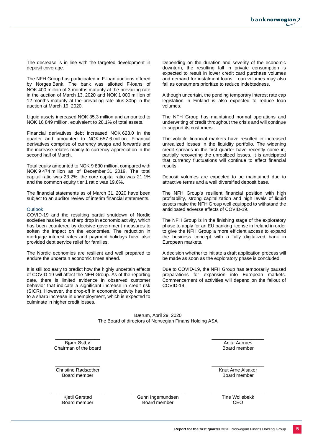The decrease is in line with the targeted development in deposit coverage.

The NFH Group has participated in F-loan auctions offered by Norges Bank. The bank was allotted F-loans of NOK 400 million of 3 months maturity at the prevailing rate in the auction of March 13, 2020 and NOK 1 000 million of 12 months maturity at the prevailing rate plus 30bp in the auction at March 19, 2020.

Liquid assets increased NOK 35.3 million and amounted to NOK 16 849 million, equivalent to 28.1% of total assets.

Financial derivatives debt increased NOK 628.0 in the quarter and amounted to NOK 657.6 million. Financial derivatives comprise of currency swaps and forwards and the increase relates mainly to currency appreciation in the second half of March.

Total equity amounted to NOK 9 830 million, compared with NOK 9 474 million as of December 31, 2019. The total capital ratio was 23.2%, the core capital ratio was 21.1% and the common equity tier 1 ratio was 19.6%.

The financial statements as of March 31, 2020 have been subject to an auditor review of interim financial statements.

#### **Outlook**

COVID-19 and the resulting partial shutdown of Nordic societies has led to a sharp drop in economic activity, which has been countered by decisive government measures to soften the impact on the economies. The reduction in mortgage interest rates and payment holidays have also provided debt service relief for families.

The Nordic economies are resilient and well prepared to endure the uncertain economic times ahead.

It is still too early to predict how the highly uncertain effects of COVID-19 will affect the NFH Group. As of the reporting date, there is limited evidence in observed customer behavior that indicate a significant increase in credit risk (SICR). However, the drop-off in economic activity has led to a sharp increase in unemployment, which is expected to culminate in higher credit losses.

Depending on the duration and severity of the economic downturn, the resulting fall in private consumption is expected to result in lower credit card purchase volumes and demand for instalment loans. Loan volumes may also fall as consumers prioritize to reduce indebtedness.

Although uncertain, the pending temporary interest rate cap legislation in Finland is also expected to reduce loan volumes.

The NFH Group has maintained normal operations and underwriting of credit throughout the crisis and will continue to support its customers.

The volatile financial markets have resulted in increased unrealized losses in the liquidity portfolio. The widening credit spreads in the first quarter have recently come in, partially recovering the unrealized losses. It is anticipated that currency fluctuations will continue to affect financial results.

Deposit volumes are expected to be maintained due to attractive terms and a well diversified deposit base.

The NFH Group's resilient financial position with high profitability, strong capitalization and high levels of liquid assets make the NFH Group well equipped to withstand the anticipated adverse effects of COVID-19.

The NFH Group is in the finishing stage of the exploratory phase to apply for an EU banking license in Ireland in order to give the NFH Group a more efficient access to expand the business concept with a fully digitalized bank in European markets.

A decision whether to initiate a draft application process will be made as soon as the exploratory phase is concluded.

Due to COVID-19, the NFH Group has temporarily paused preparations for expansion into European markets. Commencement of activities will depend on the fallout of COVID-19.

Bærum, April 29, 2020 The Board of directors of Norwegian Finans Holding ASA

\_\_\_\_\_\_\_\_\_\_\_\_\_\_\_\_\_ Bjørn Østbø Chairman of the board

\_\_\_\_\_\_\_\_\_\_\_\_\_\_\_\_\_ Christine Rødsæther Board member

\_\_\_\_\_\_\_\_\_\_\_\_\_\_\_\_\_\_\_\_ Kjetil Garstad Board member

\_\_\_\_\_\_\_\_\_\_\_\_\_\_\_\_\_\_\_\_ Gunn Ingemundsen Board member

\_\_\_\_\_\_\_\_\_\_\_\_\_\_\_\_\_\_\_\_ Anita Aarnæs Board member

\_\_\_\_\_\_\_\_\_\_\_\_\_\_\_\_\_\_\_\_ Knut Arne Alsaker Board member

\_\_\_\_\_\_\_\_\_\_\_\_\_\_\_\_\_\_\_\_ Tine Wollebekk CEO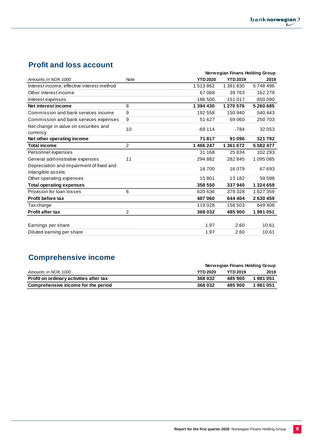## **Profit and loss account**

|                                                               |                |                 | Norwegian Finans Holding Group |               |
|---------------------------------------------------------------|----------------|-----------------|--------------------------------|---------------|
| Amounts in NOK 1000                                           | Note           | <b>YTD 2020</b> | <b>YTD 2019</b>                | 2019          |
| Interest income, effective interest method                    |                | 1513862         | 1 381 830                      | 5748496       |
| Other interest income                                         |                | 67068           | 39763                          | 162 279       |
| Interest expenses                                             |                | 186 500         | 151 017                        | 650090        |
| Net interest income                                           | 8              | 1 394 430       | 1 270 576                      | 5 260 685     |
| Commission and bank services income                           | 9              | 192 558         | 150 940                        | 540 443       |
| Commission and bank services expenses                         | 9              | 51 627          | 59 060                         | 250 703       |
| Net change in value on securities and<br>currency             | 10             | $-69114$        | $-784$                         | 32 053        |
| Net other operating income                                    |                | 71817           | 91 096                         | 321792        |
| <b>Total income</b>                                           | $\overline{2}$ | 1466247         | 1 361 672                      | 5 5 8 2 4 7 7 |
| Personnel expenses                                            |                | 31 168          | 25 834                         | 102 293       |
| General administrative expenses                               | 11             | 294 882         | 282 845                        | 1 095 085     |
| Depreciation and impairment of fixed and<br>intangible assets |                | 16700           | 16 079                         | 67 693        |
| Other operating expenses                                      |                | 15801           | 13 182                         | 59 588        |
| <b>Total operating expenses</b>                               |                | 358 550         | 337940                         | 1 324 659     |
| Provision for loan losses                                     | 6              | 620 636         | 379 328                        | 1627359       |
| <b>Profit before tax</b>                                      |                | 487 060         | 644 404                        | 2630459       |
| Tax charge                                                    |                | 119028          | 158 503                        | 649408        |
| <b>Profit after tax</b>                                       | $\overline{2}$ | 368 032         | 485 900                        | 1981051       |
|                                                               |                |                 |                                |               |
| Earnings per share                                            |                | 1.97            | 2.60                           | 10.61         |
| Diluted earning per share                                     |                | 1.97            | 2.60                           | 10.61         |

# **Comprehensive income**

|                                         | Norwegian Finans Holding Group |                 |         |
|-----------------------------------------|--------------------------------|-----------------|---------|
| Amounts in NOK 1000                     | <b>YTD 2020</b>                | <b>YTD 2019</b> | 2019    |
| Profit on ordinary activities after tax | 368 032                        | 485 900         | 1981051 |
| Comprehensive income for the period     | 368 032                        | 485 900         | 1981051 |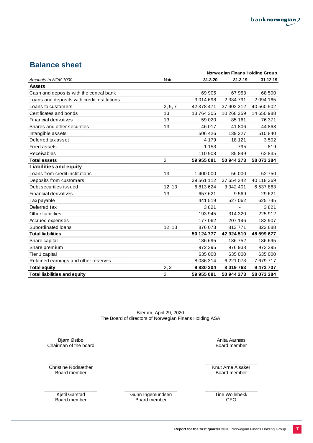## **Balance sheet**

|                                             |                | Norwegian Finans Holding Group |               |            |  |
|---------------------------------------------|----------------|--------------------------------|---------------|------------|--|
| Amounts in NOK 1000                         | Note           | 31.3.20                        | 31.3.19       | 31.12.19   |  |
| <b>Assets</b>                               |                |                                |               |            |  |
| Cash and deposits with the central bank     |                | 69 905                         | 67953         | 68 500     |  |
| Loans and deposits with credit institutions |                | 3014698                        | 2 3 3 4 7 9 1 | 2094165    |  |
| Loans to customers                          | 2, 5, 7        | 42 378 471                     | 37 902 312    | 40 560 502 |  |
| Certificates and bonds                      | 13             | 13764305                       | 10 268 259    | 14 650 988 |  |
| Financial derivatives                       | 13             | 59 0 20                        | 85 161        | 76 371     |  |
| Shares and other securities                 | 13             | 46 017                         | 41806         | 44 863     |  |
| Intangible assets                           |                | 506 426                        | 139 227       | 510840     |  |
| Deferred tax asset                          |                | 4 1 7 9                        | 18 121        | 3502       |  |
| Fixed assets                                |                | 1 1 5 3                        | 795           | 819        |  |
| Receivables                                 |                | 110 908                        | 85849         | 62 835     |  |
| <b>Total assets</b>                         | 2              | 59 955 081                     | 50 944 273    | 58 073 384 |  |
| <b>Liabilities and equity</b>               |                |                                |               |            |  |
| Loans from credit institutions              | 13             | 1 400 000                      | 56 000        | 52750      |  |
| Deposits from customers                     |                | 39 561 112                     | 37 654 242    | 40 118 369 |  |
| Debt securities issued                      | 12, 13         | 6813624                        | 3 342 401     | 6 537 863  |  |
| Financial derivatives                       | 13             | 657 621                        | 9569          | 29 6 21    |  |
| Tax payable                                 |                | 441519                         | 527 062       | 625745     |  |
| Deferred tax                                |                | 3821                           |               | 3821       |  |
| Other liabilities                           |                | 193 945                        | 314 320       | 225 912    |  |
| Accrued expenses                            |                | 177 062                        | 207 146       | 182 907    |  |
| Subordinated loans                          | 12, 13         | 876073                         | 813771        | 822 688    |  |
| <b>Total liabilities</b>                    |                | 50 124 777                     | 42 924 510    | 48 599 677 |  |
| Share capital                               |                | 186 695                        | 186752        | 186 695    |  |
| Share premium                               |                | 972 295                        | 976938        | 972 295    |  |
| Tier 1 capital                              |                | 635 000                        | 635 000       | 635 000    |  |
| Retained earnings and other reserves        |                | 8 0 3 6 3 1 4                  | 6 2 2 1 0 7 3 | 7679717    |  |
| <b>Total equity</b>                         | 2, 3           | 9830304                        | 8 019 763     | 9473707    |  |
| <b>Total liabilities and equity</b>         | $\overline{c}$ | 59 955 081                     | 50 944 273    | 58 073 384 |  |

Bærum, April 29, 2020 The Board of directors of Norwegian Finans Holding ASA

\_\_\_\_\_\_\_\_\_\_\_\_\_\_\_\_\_ Bjørn Østbø Chairman of the board

 $\overline{\phantom{a}}$  , where the contract of the contract of the contract of the contract of the contract of the contract of the contract of the contract of the contract of the contract of the contract of the contract of the contr Christine Rødsæther Board member

\_\_\_\_\_\_\_\_\_\_\_\_\_\_\_\_\_\_\_\_ Kjetil Garstad Board member

\_\_\_\_\_\_\_\_\_\_\_\_\_\_\_\_\_\_\_\_ Gunn Ingemundsen Board member

Board member

\_\_\_\_\_\_\_\_\_\_\_\_\_\_\_\_\_\_\_\_ Anita Aarnæs

 $\_$ Knut Arne Alsaker Board member

 $\_$ Tine Wollebekk CEO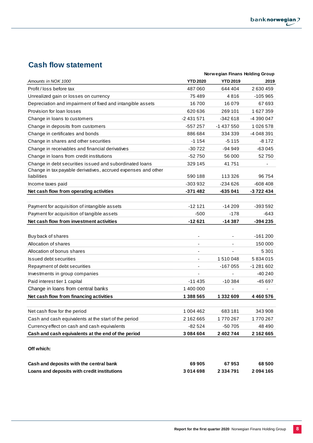## **Cash flow statement**

|                                                               |                 | Norwegian Finans Holding Group |            |
|---------------------------------------------------------------|-----------------|--------------------------------|------------|
| Amounts in NOK 1000                                           | <b>YTD 2020</b> | <b>YTD 2019</b>                | 2019       |
| Profit / loss before tax                                      | 487 060         | 644 404                        | 2 630 459  |
| Unrealized gain or losses on currency                         | 75 489          | 4816                           | $-105965$  |
| Depreciation and impairment of fixed and intangible assets    | 16700           | 16079                          | 67 693     |
| Provision for loan losses                                     | 620 636         | 269 101                        | 1627359    |
| Change in loans to customers                                  | -2 431 571      | -342 618                       | -4 390 047 |
| Change in deposits from customers                             | -557 257        | -1 437 550                     | 1026578    |
| Change in certificates and bonds                              | 886 684         | 334 339                        | -4 048 391 |
| Change in shares and other securities                         | $-1154$         | $-5115$                        | $-8172$    |
| Change in receivables and financial derivatives               | $-30722$        | $-94949$                       | $-63045$   |
| Change in loans from credit institutions                      | $-52750$        | 56 000                         | 52750      |
| Change in debt securities issued and subordinated loans       | 329 145         | 41751                          |            |
| Change in tax payable derivatives, accrued expenses and other |                 |                                |            |
| liabilities                                                   | 590 188         | 113 326                        | 96 754     |
| Income taxes paid                                             | -303 932        | $-234626$                      | $-608408$  |
| Net cash flow from operating activities                       | $-371482$       | $-635041$                      | -3 722 434 |
|                                                               |                 |                                |            |
| Payment for acquisition of intangible assets                  | $-12121$        | $-14209$                       | -393 592   |
| Payment for acquisition of tangible assets                    | $-500$          | $-178$                         | -643       |
| Net cash flow from investment activities                      | -12 621         | -14 387                        | -394 235   |
|                                                               |                 |                                |            |
| Buy back of shares                                            |                 |                                | $-161200$  |
| Allocation of shares                                          | ٠               |                                | 150 000    |
| Allocation of bonus shares                                    | $\blacksquare$  |                                | 5 3 0 1    |
| <b>Issued debt securities</b>                                 | ٠               | 1510048                        | 5834015    |
| Repayment of debt securities                                  | ٠               | -167 055                       | -1 281 602 |
| Investments in group companies                                | ä,              |                                | $-40240$   |
| Paid interest tier 1 capital                                  | $-11435$        | $-10.384$                      | $-45697$   |
| Change in loans from central banks                            | 1 400 000       |                                |            |
| Net cash flow from financing activities                       | 1 388 565       | 1 332 609                      | 4460576    |
|                                                               |                 |                                |            |
| Net cash flow for the period                                  | 1 004 462       | 683 181                        | 343 908    |
| Cash and cash equivalents at the start of the period          | 2 162 665       | 1770 267                       | 1770267    |
| Currency effect on cash and cash equivalents                  | -82 524         | -50 705                        | 48 490     |
| Cash and cash equivalents at the end of the period            | 3 084 604       | 2 402 744                      | 2 162 665  |
|                                                               |                 |                                |            |
| Off which:                                                    |                 |                                |            |
| Cash and deposits with the central bank                       | 69 905          | 67953                          | 68 500     |

**Loans and deposits with credit institutions 3 014 698 2 334 791 2 094 165**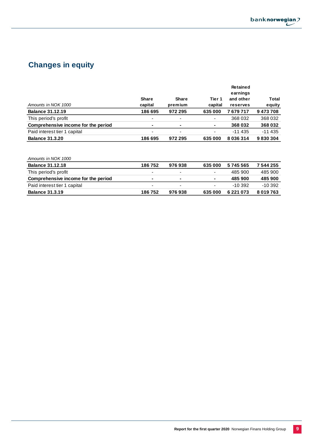

# **Changes in equity**

|                                     |                          |                          |                | <b>Retained</b> |          |
|-------------------------------------|--------------------------|--------------------------|----------------|-----------------|----------|
|                                     |                          |                          |                | earnings        |          |
|                                     | <b>Share</b>             | Share                    | Tier 1         | and other       | Total    |
| Amounts in NOK 1000                 | capital                  | premium                  | capital        | reserves        | equity   |
| <b>Balance 31.12.19</b>             | 186 695                  | 972 295                  | 635 000        | 7679717         | 9473708  |
| This period's profit                | $\overline{\phantom{0}}$ | $\overline{\phantom{a}}$ | ۰              | 368 032         | 368 032  |
| Comprehensive income for the period | $\blacksquare$           | $\blacksquare$           | $\blacksquare$ | 368 032         | 368 032  |
| Paid interest tier 1 capital        | -                        |                          |                | $-11435$        | $-11435$ |
| <b>Balance 31.3.20</b>              | 186 695                  | 972 295                  | 635 000        | 8 0 3 6 3 1 4   | 9830304  |

| Amounts in NOK 1000                 |                          |                |                          |           |               |
|-------------------------------------|--------------------------|----------------|--------------------------|-----------|---------------|
| <b>Balance 31.12.18</b>             | 186752                   | 976938         | 635 000                  | 5745565   | 7 544 255     |
| This period's profit                | $\overline{\phantom{0}}$ | -              | $\overline{\phantom{0}}$ | 485 900   | 485 900       |
| Comprehensive income for the period | $\sim$                   | $\blacksquare$ | ٠                        | 485900    | 485 900       |
| Paid interest tier 1 capital        | $\overline{\phantom{0}}$ | -              | $\overline{\phantom{0}}$ | $-10.392$ | $-10.392$     |
| <b>Balance 31.3.19</b>              | 186752                   | 976938         | 635 000                  | 6 221 073 | 8 0 1 9 7 6 3 |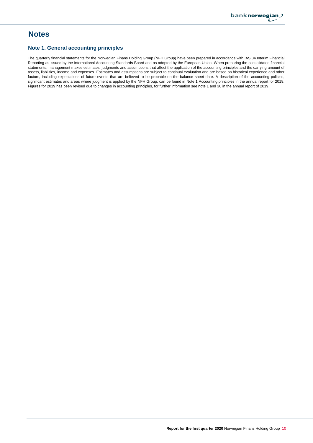## **Notes**

### **Note 1. General accounting principles**

The quarterly financial statements for the Norwegian Finans Holding Group (NFH Group) have been prepared in accordance with IAS 34 Interim Financial Reporting as issued by the International Accounting Standards Board and as adopted by the European Union. When preparing the consolidated financial statements, management makes estimates, judgments and assumptions that affect the application of the accounting principles and the carrying amount of assets, liabilities, income and expenses. Estimates and assumptions are subject to continual evaluation and are based on historical experience and other factors, including expectations of future events that are believed to be probable on the balance sheet date. A description of the accounting policies, significant estimates and areas where judgment is applied by the NFH Group, can be found in Note 1 Accounting principles in the annual report for 2019. Figures for 2019 has been revised due to changes in accounting principles, for further information see note 1 and 36 in the annual report of 2019.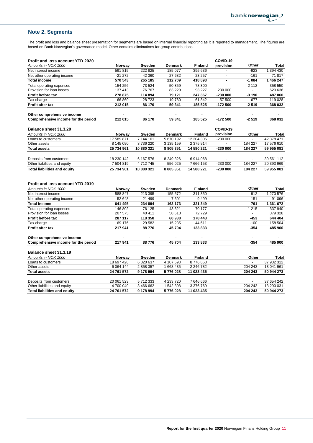## **Note 2. Segments**

The profit and loss and balance sheet presentation for segments are based on internal financial reporting as it is reported to management. The figures are based on Bank Norwegian's governance model. Other contains eliminations for group contributions.

| <b>Profit and loss account YTD 2020</b>   |                           |                        |                             |                              | COVID-19       |                          |                          |
|-------------------------------------------|---------------------------|------------------------|-----------------------------|------------------------------|----------------|--------------------------|--------------------------|
| Amounts in NOK 1000                       | Norway                    | Sweden                 | <b>Denmark</b>              | <b>Finland</b>               | provision      | Other                    | Total                    |
| Net interest income                       | 591 815                   | 222 825                | 185 077                     | 395 636                      |                | $-923$                   | 1 394 430                |
| Net other operating income                | $-21272$                  | 42 360                 | 27 632                      | 23 257                       | $\overline{a}$ | $-161$                   | 71817                    |
| <b>Total income</b>                       | 570 543                   | 265 185                | 212709                      | 418 893                      | $\blacksquare$ | $-1084$                  | 1 466 247                |
| Total operating expenses                  | 154 256                   | 73 524                 | 50 359                      | 78 300                       |                | 2 1 1 2                  | 358 550                  |
| Provision for loan losses                 | 137 413                   | 76 767                 | 83 229                      | 93 227                       | 230 000        | $\blacksquare$           | 620 636                  |
| Profit before tax                         | 278 875                   | 114 894                | 79 121                      | 247 367                      | $-23000$       | $-3196$                  | 487 060                  |
| Tax charge                                | 66 860                    | 28723                  | 19780                       | 61 842                       | $-57500$       | $-677$                   | 119 028                  |
| Profit after tax                          | 212 015                   | 86 170                 | 59 341                      | 185 525                      | $-172500$      | $-2519$                  | 368 032                  |
| Other comprehensive income                |                           |                        |                             |                              |                |                          |                          |
| Comprehensive income for the period       | 212 015                   | 86 170                 | 59 341                      | 185 525                      | $-172500$      | $-2519$                  | 368 032                  |
|                                           |                           |                        |                             |                              | COVID-19       |                          |                          |
| Balance sheet 31.3.20                     |                           |                        |                             |                              | provision      |                          |                          |
| Amounts in NOK 1000<br>Loans to customers | Norway<br>17 589 871      | Sweden<br>7 144 101    | <b>Denmark</b><br>5 670 192 | <b>Finland</b><br>12 204 306 | $-230000$      | Other                    | Total<br>42 378 471      |
| Other assets                              | 8 145 090                 | 3736220                | 3 135 159                   | 2 375 914                    |                | 184 227                  | 17 576 610               |
| <b>Total assets</b>                       | 25 734 961                | 10 880 321             | 8 805 351                   | 14 580 221                   | $-230000$      | 184 227                  | 59 955 081               |
|                                           |                           |                        |                             |                              |                |                          |                          |
| Deposits from customers                   | 18 230 142                | 6 167 576              | 8 249 326                   | 6914068                      |                |                          | 39 561 112               |
| Other liabilities and equity              | 7 504 819                 | 4712745                | 556 025                     | 7 666 153                    | $-230000$      | 184 227                  | 20 393 969               |
| <b>Total liabilities and equity</b>       | 25 734 961                | 10 880 321             | 8 805 351                   | 14 580 221                   | $-230000$      | 184 227                  | 59 955 081               |
|                                           |                           |                        |                             |                              |                |                          |                          |
| <b>Profit and loss account YTD 2019</b>   |                           |                        |                             |                              |                |                          |                          |
| Amounts in NOK 1000                       | Norway                    | Sweden                 | <b>Denmark</b>              | <b>Finland</b>               |                | Other                    | Total                    |
| Net interest income                       | 588 847                   | 213 395                | 155 572                     | 311 850                      |                | 912                      | 1 270 576                |
| Net other operating income                | 52 648                    | 21 499                 | 7601                        | 9499                         |                | $-151$                   | 91 096                   |
| <b>Total income</b>                       | 641 495                   | 234 894                | 163 173                     | 321 349                      |                | 761                      | 1 361 672                |
| Total operating expenses                  | 146 802                   | 76 125                 | 43 621                      | 70 177                       |                | 1 2 1 5                  | 337 940                  |
| Provision for loan losses                 | 207 575                   | 40 411                 | 58 613                      | 72729                        |                | $\overline{\phantom{a}}$ | 379 328                  |
| Profit before tax                         | 287 117                   | 118 358                | 60 938                      | 178 443                      |                | -453                     | 644 404                  |
| Tax charge                                | 69 176                    | 29 582                 | 15 2 35                     | 44 611                       |                | $-100$                   | 158 504                  |
| Profit after tax                          | 217 941                   | 88776                  | 45 704                      | 133833                       |                | $-354$                   | 485 900                  |
| Other comprehensive income                |                           |                        |                             |                              |                | $\blacksquare$           |                          |
| Comprehensive income for the period       | 217 941                   | 88776                  | 45 704                      | 133833                       |                | $-354$                   | 485 900                  |
|                                           |                           |                        |                             |                              |                |                          |                          |
| Balance sheet 31.3.19                     |                           |                        |                             |                              |                |                          |                          |
| Amounts in NOK 1000                       | Norway                    | Sweden                 | Denmark                     | <b>Finland</b>               |                | Other                    | Total                    |
| Loans to customers                        | 18 697 428<br>6 0 64 1 44 | 6 320 637<br>2 858 357 | 4 107 593<br>1 668 435      | 8776653<br>2 246 782         |                | 204 243                  | 37 902 312<br>13 041 961 |
| Other assets<br><b>Total assets</b>       | 24 761 572                |                        |                             |                              |                | 204 243                  |                          |
|                                           |                           | 9 178 994              | 5776028                     | 11 023 435                   |                |                          | 50 944 273               |
| Deposits from customers                   | 20 061 523                | 5712333                | 4 233 720                   | 7 646 666                    |                |                          | 37 654 242               |
| Other liabilities and equity              | 4700049                   | 3 466 662              | 1 542 308                   | 3 376 769                    |                | 204 243                  | 13 290 031               |
| <b>Total liabilities and equity</b>       | 24 761 572                | 9 178 994              | 5776028                     | 11 023 435                   |                | 204 243                  | 50 944 273               |
|                                           |                           |                        |                             |                              |                |                          |                          |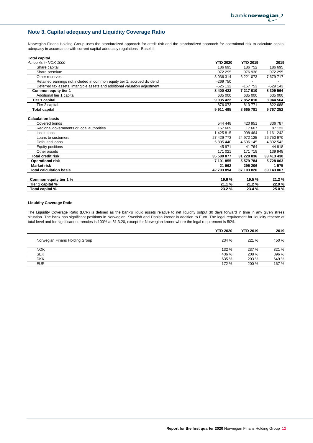## **Note 3. Capital adequacy and Liquidity Coverage Ratio**

Norwegian Finans Holding Group uses the standardized approach for credit risk and the standardized approach for operational risk to calculate capital adequacy in accordance with current capital adequacy regulations - Basel II.

| <b>Total capital</b> |
|----------------------|
|----------------------|

| Amounts in NOK 1000                                                        | <b>YTD 2020</b> | <b>YTD 2019</b> | 2019        |
|----------------------------------------------------------------------------|-----------------|-----------------|-------------|
| Share capital                                                              | 186 695         | 186 752         | 186 695     |
| Share premium                                                              | 972 295         | 976 938         | 972 295     |
| Other reserves                                                             | 8 0 36 314      | 6 221 073       | 7679717     |
| Retained earnings not included in common equity tier 1, accrued dividend   | -269 750        |                 |             |
| Deferred tax assets, intangible assets and additional valuation adjustment | $-525132$       | $-167753$       | $-529$ 143  |
| Common equity tier 1                                                       | 8 400 422       | 7 217 010       | 8 309 564   |
| Additional tier 1 capital                                                  | 635 000         | 635 000         | 635 000     |
| Tier 1 capital                                                             | 9 0 35 4 22     | 7852010         | 8 944 564   |
| Tier 2 capital                                                             | 876 073         | 813771          | 822 688     |
| <b>Total capital</b>                                                       | 9911495         | 8 665 781       | 9767252     |
| <b>Calculation basis</b>                                                   |                 |                 |             |
| Covered bonds                                                              | 544 448         | 420 951         | 336 787     |
| Regional governments or local authorities                                  | 157 609         | 17 667          | 87 123      |
| Institutions                                                               | 1 425 815       | 998 464         | 1 1 61 2 42 |
| Loans to customers                                                         | 27 429 773      | 24 972 125      | 26 750 970  |
| Defaulted loans                                                            | 5 805 440       | 4 606 145       | 4 892 542   |
| Equity positions                                                           | 45 971          | 41 764          | 44 818      |
| Other assets                                                               | 171 021         | 171 719         | 139 948     |
| Total credit risk                                                          | 35 580 077      | 31 228 836      | 33 413 430  |
| <b>Operational risk</b>                                                    | 7 191 855       | 5 579 784       | 5728063     |
| <b>Market risk</b>                                                         | 21 962          | 295 206         | 1575        |
| <b>Total calculation basis</b>                                             | 42 793 894      | 37 103 826      | 39 143 067  |
| Common equity tier 1 %                                                     | 19.6%           | 19.5%           | 21.2%       |
| Tier 1 capital %                                                           | 21.1%           | 21.2%           | 22.9%       |
| Total capital %                                                            | 23.2%           | 23.4%           | 25.0%       |

#### **Liquidity Coverage Ratio**

The Liquidity Coverage Ratio (LCR) is defined as the bank's liquid assets relative to net liquidity output 30 days forward in time in any given stress situation. The bank has significant positions in Norwegian, Swedish and Danish kroner in addition to Euro. The legal requirement for liquidity reserve at total level and for significant currencies is 100% at 31.3.20, except for Norwegian kroner where the legal requirement is 50%.

|                                | <b>YTD 2020</b> | <b>YTD 2019</b> | 2019  |
|--------------------------------|-----------------|-----------------|-------|
| Norwegian Finans Holding Group | 234 %           | 221 %           | 450 % |
| <b>NOK</b>                     | 132 %           | 237 %           | 321 % |
| <b>SEK</b>                     | 436 %           | 208 %           | 396 % |
| <b>DKK</b>                     | 635 %           | 203 %           | 649 % |
| <b>EUR</b>                     | 172 %           | 200 %           | 167 % |
|                                |                 |                 |       |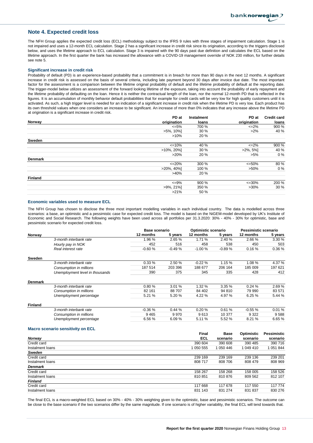#### **Note 4. Expected credit loss**

The NFH Group applies the expected credit loss (ECL) methodology subject to the IFRS 9 rules with three stages of impairment calculation. Stage 1 is not impaired and uses a 12-month ECL calculation. Stage 2 has a significant increase in credit risk since its origination, according to the triggers disclosed below, and uses the lifetime approach to ECL calculation. Stage 3 is impaired with the 90 days past due definition and calculates the ECL based on the lifetime approach. In the first quarter the bank has increased the allowance with a COVID-19 management override of NOK 230 million, for further details see note 5.

#### **Significant increase in credit risk**

Probability of default (PD) is an experience-based probability that a commitment is in breach for more than 90 days in the next 12 months. A significant increase in credit risk is assessed on the basis of several criteria, including late payment beyond 30 days after invoice due date. The most important factor for the assessment is a comparison between the lifetime original probability of default and the lifetime probability of default at the reporting date. The trigger-model below utilizes an assessment of the forward looking lifetime of the exposure, taking into account the probability of early repayment and the lifetime probability of defaulting on the loan. Hence it is neither the contractual length of the loan, nor the normal 12-month PD that is reflected in the figures. It is an accumulation of monthly behavior default probabilities that for example for credit cards will be very low for high quality customers until it is activated. As such, a high trigger level is needed for an indication of a significant increase in credit risk when the lifetime PD is very low. Each product has its own threshold values when one considers an increase to be significant. An increase of more than 0% indicates that any increase above the lifetime PD at origination is a significant increase in credit risk. **PD at Instalment**

|                | PD at            | Instalment | PD at             | <b>Credit card</b> |
|----------------|------------------|------------|-------------------|--------------------|
| Norway         | origination      | loans      | origination       | loans              |
|                | $\epsilon = 5\%$ | 700 %      | $\leq$ 2%         | 900 %              |
|                | $>5\%$ , 10%]    | 30 %       | $>2\%$            | 40 %               |
|                | $>10\%$          | 20 %       |                   |                    |
| Sweden         |                  |            |                   |                    |
|                | $\leq 10\%$      | 40 %       | $\leq$ 2%         | 900 %              |
|                | $>10\%$ , 20%    | 30 %       | $>2\%, 5\%$       | 40 %               |
|                | $>20\%$          | 20 %       | $>5\%$            | $0\%$              |
| <b>Denmark</b> |                  |            |                   |                    |
|                | $\leq$ 20%       | 300 %      | $\epsilon = 50\%$ | 80 %               |
|                | $>20\%$ , 40%    | 100 %      | $>50\%$           | $0\%$              |
|                | >40%             | 20 %       |                   |                    |
| <b>Finland</b> |                  |            |                   |                    |
|                | $\epsilon = 9\%$ | 900 %      | $\leq 30\%$       | 200 %              |
|                | $>9\%$ , 21%]    | 350 %      | $>30\%$           | 30%                |
|                | $>21\%$          | 50 %       |                   |                    |

#### **Economic variables used to measure ECL**

The NFH Group has chosen to disclose the three most important modelling variables in each individual country. The data is modelled across three scenarios: a base, an optimistic and a pessimistic case for expected credit loss. The model is based on the NiGEM-model developed by UK's Institute of Economic and Social Research. The following weights have been used across all portfolios per 31.3.2020: 30% - 40% - 30% for optimistic, base and pessimistic scenario for expected credit loss.

|                |                                 | Base scenario |          | Optimistic scenario |          |           | Pessimistic scenario |  |
|----------------|---------------------------------|---------------|----------|---------------------|----------|-----------|----------------------|--|
| Norway         |                                 | 12 months     | 5 years  | 12 months           | 5 years  | 12 months | 5 years              |  |
|                | 3-month interbank rate          | 1.96%         | 2.65%    | 1.71 %              | 2.40 %   | 2.66 %    | 3.30 %               |  |
|                | Hourly pay in NOK               | 452           | 516      | 458                 | 538      | 450       | 503                  |  |
|                | Real interest rate              | $-0.60%$      | $-0.49%$ | $-1.00%$            | $-0.89%$ | 0.16%     | 0.36%                |  |
| Sweden         |                                 |               |          |                     |          |           |                      |  |
|                | 3-month interbank rate          | 0.33%         | 2.50 %   | $-0.22%$            | 1.15 %   | 1.08%     | 4.37 %               |  |
|                | Consumption in millions         | 187 514       | 203 396  | 188 677             | 206 164  | 185 009   | 197 621              |  |
|                | Unemployment level in thousands | 390           | 375      | 345                 | 335      | 428       | 412                  |  |
| <b>Denmark</b> |                                 |               |          |                     |          |           |                      |  |
|                | 3-month interbank rate          | 0.80%         | 3.01%    | 1.32%               | 3.35%    | 0.24%     | 2.69%                |  |
|                | Consumption in millions         | 82 161        | 88 707   | 84 402              | 94 810   | 79 990    | 83 571               |  |
|                | Unemployment percentage         | 5.21 %        | 5.20 %   | 4.22 %              | 4.97 %   | 6.25%     | 5.44 %               |  |
| <b>Finland</b> |                                 |               |          |                     |          |           |                      |  |
|                | 3-month interbank rate          | $-0.36%$      | 0.44%    | 0.20%               | 0.61%    | $-0.55%$  | 0.01%                |  |
|                | Consumption in millions         | 9465          | 9970     | 9613                | 10 377   | 9 3 2 2   | 9588                 |  |
|                | Unemployment percentage         | 6.56 %        | 6.09%    | 5.11 %              | 5.52 %   | 8.21 %    | 6.65 %               |  |
|                |                                 |               |          |                     |          |           |                      |  |

#### **Macro scenario sensitivity on ECL**

|                  | Final     | <b>Base</b> | Optimistic | Pessimistic |
|------------------|-----------|-------------|------------|-------------|
| <b>Norway</b>    | ECL       | scenario    | scenario   | scenario    |
| Credit card      | 390 604   | 390 608     | 390 485    | 390 716     |
| Instalment loans | 1 050 555 | 1 050 446   | 1 049 410  | 1 051 844   |
| Sweden           |           |             |            |             |
| Credit card      | 239 169   | 239 169     | 239 136    | 239 201     |
| Instalment loans | 808 717   | 808 706     | 808 479    | 808 969     |
| <b>Denmark</b>   |           |             |            |             |
| Credit card      | 158 267   | 158 268     | 158 005    | 158 526     |
| Instalment loans | 810851    | 810876      | 809 562    | 812 107     |
| <b>Finland</b>   |           |             |            |             |
| Credit card      | 117 668   | 117 678     | 117 550    | 117 774     |
| Instalment loans | 831 143   | 831 274     | 831 837    | 830 276     |

The final ECL is a macro-weighted ECL based on 30% - 40% - 30% weighting given to the optimistic, base and pessimistic scenarios. The outcome can be close to the base scenario if the two scenarios differ by the same magnitude. If one scenario is of higher variability, the final ECL will tend towards that.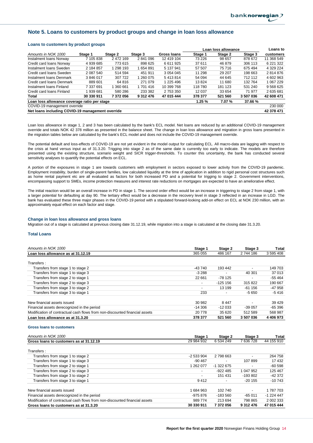#### **Note 5. Loans to customers by product groups and change in loan loss allowance**

#### **Loans to customers by product groups**

|                                                  |            |           |           |             |         | Loan loss allowance |         | Loans to    |
|--------------------------------------------------|------------|-----------|-----------|-------------|---------|---------------------|---------|-------------|
| Amounts in NOK 1000                              | Stage 1    | Stage 2   | Stage 3   | Gross Ioans | Stage 1 | Stage 2             | Stage 3 | customers   |
| Instalment Ioans Norway                          | 7 105 838  | 2 472 169 | 2841096   | 12 419 104  | 73 226  | 98 657              | 878 672 | 11 368 549  |
| Credit card loans Norway                         | 4 939 685  | 773 615   | 898 625   | 6 611 925   | 37 611  | 46 879              | 306 113 | 6 221 322   |
| Instalment Ioans Sweden                          | 2 184 857  | 1 298 193 | 654 891   | 5 137 941   | 57 507  | 75 716              | 675 494 | 4 329 224   |
| Credit card loans Sweden                         | 2 087 540  | 514 594   | 451 911   | 3 0 54 0 45 | 11 298  | 29 207              | 198 663 | 2814876     |
| Instalment Ioans Denmark                         | 3846017    | 307 722   | 260 075   | 5413814     | 54 094  | 44 645              | 712 112 | 4 602 963   |
| Credit card loans Denmark                        | 889 601    | 64 816    | 271 079   | 1 225 496   | 13824   | 11 680              | 132 764 | 1 067 229   |
| Instalment Ioans Finland                         | 7 337 691  | 360 661   | 1 701 416 | 10 399 768  | 118 780 | 181 123             | 531 240 | 9 5 68 6 25 |
| Credit card loans Finland                        | 939 681    | 580 286   | 233 382   | 2 753 350   | 12 0 37 | 33 654              | 71 977  | 2635681     |
| Total                                            | 30 330 911 | 7372056   | 9 312 476 | 47 015 444  | 378 377 | 521 560             | 3507036 | 42 608 471  |
| Loan loss allowance coverage ratio per stage     |            |           |           |             | 1.25%   | 7.07 %              | 37.66 % |             |
| COVID-19 management override                     |            |           |           |             |         |                     |         | 230 000     |
| Net loans including COVID-19 management override |            |           |           |             |         |                     |         | 42 378 471  |

Loan loss allowance in stage 1, 2 and 3 has been calculated by the bank's ECL model. Net loans are reduced by an additional COVID-19 management override and totals NOK 42 378 million as presented in the balance sheet. The change in loan loss allowance and migration in gross loans presented in the migration tables below are calculated by the bank's ECL model and does not include the COVID-19 management override.

The potential default and loss-effects of COVID-19 are not yet evident in the model output for calculating ECL. All macro-data are lagging with respect to the crisis at hand versus input as of 31.3.20. Trigging into stage 2 as of the same date is currently too early to indicate. The models are therefore presented using the existing structure, scenario weight and SICR trigger-thresholds. To counter this uncertainty, the bank has conducted several sensitivity analyses to quantify the potential effects on ECL.

A portion of the exposures in stage 1 are towards customers with employment in sectors exposed to lower activity from the COVID-19 pandemic. Employment instability, burden of single-parent families, low calculated liquidity at the time of application in addition to rigid personal cost structures such as home rental payment etc are all evaluated as factors for both increased PD and a potential for trigging to stage 2. Government interventions, encompassing support to SMEs, income protection measures and interest rate reductions on mortgages are expected to have an ameliorative effect.

The initial reaction would be an overall increase in PD in stage 1. The second order effect would be an increase in triggering to stage 2 from stage 1, with a larger potential for defaulting at day 90. The tertiary effect would be a decrease in the recovery level in stage 3 reflected in an increase in LGD. The bank has evaluated these three major phases in the COVID-19 period with a stipulated forward-looking add-on effect on ECL at NOK 230 million, with an approximately equal effect on each factor and stage.

#### **Change in loan loss allowance and gross loans**

Migration out of a stage is calculated at previous closing date 31.12.19, while migration into a stage is calculated at the closing date 31.3.20.

#### **Total Loans**

| Amounts in NOK 1000                                                         | Stage 1                  | Stage 2    | Stage 3                  | Total         |
|-----------------------------------------------------------------------------|--------------------------|------------|--------------------------|---------------|
| Loan loss allowance as at 31.12.19                                          | 365 055                  | 486 167    | 2 744 186                | 3 595 408     |
| Transfers:                                                                  |                          |            |                          |               |
| Transfers from stage 1 to stage 2                                           | $-43740$                 | 193 442    | $\overline{\phantom{a}}$ | 149 703       |
| Transfers from stage 1 to stage 3                                           | $-3288$                  |            | 40 301                   | 37 013        |
| Transfers from stage 2 to stage 1                                           | 22 661                   | -78 125    |                          | $-55464$      |
| Transfers from stage 2 to stage 3                                           | $\overline{\phantom{a}}$ | $-125.156$ | 315822                   | 190 667       |
| Transfers from stage 3 to stage 2                                           | $\overline{\phantom{a}}$ | 13 199     | $-61156$                 | -47 958       |
| Transfers from stage 3 to stage 1                                           | 233                      |            | $-5650$                  | -5 416        |
| New financial assets issued                                                 | 30 982                   | 8447       | $\overline{\phantom{a}}$ | 39 4 29       |
| Financial assets derecognized in the period                                 | -14 306                  | $-12033$   | $-39.057$                | $-65396$      |
| Modification of contractual cash flows from non-discounted financial assets | 20 778                   | 35 620     | 512 589                  | 568 987       |
| Loan loss allowance as at 31.3.20                                           | 378 377                  | 521 560    | 3 507 036                | 4 4 0 6 9 7 3 |

#### **Gross loans to customers**

| Amounts in NOK 1000                                                         | Stage 1                  | Stage 2     | Stage 3                  | <b>Total</b> |
|-----------------------------------------------------------------------------|--------------------------|-------------|--------------------------|--------------|
| Gross loans to customers as at 31.12.19                                     | 29 984 932               | 6 534 249   | 7 636 728                | 44 155 910   |
| Transfers:                                                                  |                          |             |                          |              |
| Transfers from stage 1 to stage 2                                           | $-2533904$               | 2 798 663   | $\overline{\phantom{0}}$ | 264 758      |
| Transfers from stage 1 to stage 3                                           | $-90.467$                |             | 107899                   | 17 432       |
| Transfers from stage 2 to stage 1                                           | 1 262 077                | $-1.322675$ | $\overline{\phantom{a}}$ | $-60598$     |
| Transfers from stage 2 to stage 3                                           | $\overline{\phantom{a}}$ | $-922485$   | 1 047 952                | 125 467      |
| Transfers from stage 3 to stage 2                                           | $\overline{\phantom{a}}$ | 151 431     | $-193802$                | -42 372      |
| Transfers from stage 3 to stage 1                                           | 9412                     |             | $-20155$                 | $-10743$     |
|                                                                             |                          |             |                          |              |
| New financial assets issued                                                 | 1684963                  | 102 740     | $\overline{\phantom{a}}$ | 1 787 703    |
| Financial assets derecognized in the period                                 | $-975876$                | $-183560$   | $-65011$                 | $-1224447$   |
| Modification of contractual cash flows from non-discounted financial assets | 989 774                  | 213 694     | 798 865                  | 2 002 333    |
| Gross loans to customers as at 31.3.20                                      | 30 330 911               | 7372056     | 9 312 476                | 47 015 444   |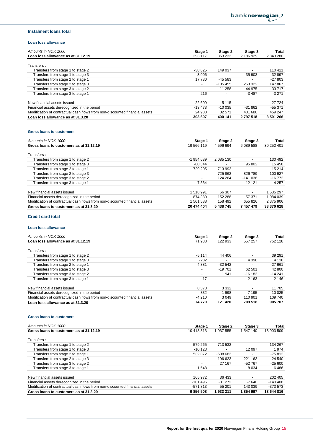#### **Instalment loans total**

#### **Loan loss allowance**

| Amounts in NOK 1000                                                         | Stage 1                  | Stage 2   | Stage 3                  | Total     |
|-----------------------------------------------------------------------------|--------------------------|-----------|--------------------------|-----------|
| Loan loss allowance as at 31.12.19                                          | 293 117                  | 363 233   | 2 186 929                | 2843280   |
| Transfers:                                                                  |                          |           |                          |           |
| Transfers from stage 1 to stage 2                                           | $-38625$                 | 149 037   | $\overline{\phantom{a}}$ | 110 411   |
| Transfers from stage 1 to stage 3                                           | $-3006$                  |           | 35 903                   | 32 897    |
| Transfers from stage 2 to stage 1                                           | 17 780                   | $-45.583$ |                          | $-27803$  |
| Transfers from stage 2 to stage 3                                           | $\overline{\phantom{a}}$ | $-105455$ | 253 322                  | 147 867   |
| Transfers from stage 3 to stage 2                                           | $\overline{\phantom{a}}$ | 11 258    | $-44975$                 | $-33717$  |
| Transfers from stage 3 to stage 1                                           | 216                      | ۰         | $-3487$                  | $-3271$   |
|                                                                             |                          |           |                          |           |
| New financial assets issued                                                 | 22 609                   | 5 1 1 5   |                          | 27 724    |
| Financial assets derecognized in the period                                 | $-13473$                 | $-10035$  | $-31.862$                | $-55371$  |
| Modification of contractual cash flows from non-discounted financial assets | 24 988                   | 32 571    | 401 688                  | 459 247   |
| Loan loss allowance as at 31.3.20                                           | 303 607                  | 400 141   | 2 797 518                | 3 501 266 |

#### **Gross loans to customers**

| Amounts in NOK 1000                                                         | Stage 1                  | Stage 2   | Stage 3                  | Total      |
|-----------------------------------------------------------------------------|--------------------------|-----------|--------------------------|------------|
| Gross loans to customers as at 31.12.19                                     | 19 566 119               | 4 596 694 | 6 089 588                | 30 252 401 |
| Transfers:                                                                  |                          |           |                          |            |
| Transfers from stage 1 to stage 2                                           | -1 954 639               | 2 085 130 | $\overline{\phantom{0}}$ | 130 492    |
| Transfers from stage 1 to stage 3                                           | $-80.344$                |           | 95 802                   | 15 4 5 8   |
| Transfers from stage 2 to stage 1                                           | 729 205                  | -713 992  |                          | 15 214     |
| Transfers from stage 2 to stage 3                                           | $\overline{\phantom{a}}$ | $-725862$ | 826 789                  | 100 927    |
| Transfers from stage 3 to stage 2                                           | $\overline{\phantom{a}}$ | 124 264   | $-141036$                | $-16772$   |
| Transfers from stage 3 to stage 1                                           | 7864                     |           | $-1212$                  | $-4257$    |
| New financial assets issued                                                 | 1518991                  | 66 307    | $\overline{\phantom{a}}$ | 1585297    |
| Financial assets derecognized in the period                                 | -874 380                 | $-152288$ | $-57.371$                | $-1084039$ |
| Modification of contractual cash flows from non-discounted financial assets | 561 588                  | 158 492   | 655826                   | 2 375 906  |
| Gross loans to customers as at 31.3.20                                      | 20 474 404               | 5 438 745 | 7 457 479                | 33 370 628 |

### **Credit card total**

### **Loan loss allowance**

| Amounts in NOK 1000                                                         | Stage 1                  | Stage 2  | Stage 3                  | <b>Total</b> |
|-----------------------------------------------------------------------------|--------------------------|----------|--------------------------|--------------|
| Loan loss allowance as at 31.12.19                                          | 71 938                   | 122 933  | 557 257                  | 752 128      |
| Transfers:                                                                  |                          |          |                          |              |
| Transfers from stage 1 to stage 2                                           | $-5114$                  | 44 406   | $\overline{\phantom{0}}$ | 39 291       |
| Transfers from stage 1 to stage 3                                           | $-282$                   |          | 4 3 9 8                  | 4 1 1 6      |
| Transfers from stage 2 to stage 1                                           | 4881                     | $-32542$ |                          | $-27661$     |
| Transfers from stage 2 to stage 3                                           | $\overline{\phantom{a}}$ | $-19701$ | 62 501                   | 42 800       |
| Transfers from stage 3 to stage 2                                           |                          | 1 941    | $-16182$                 | $-14241$     |
| Transfers from stage 3 to stage 1                                           | 17                       |          | $-2163$                  | $-2146$      |
| New financial assets issued                                                 | 8 3 7 3                  | 3 3 3 2  |                          | 11 705       |
| Financial assets derecognized in the period                                 | $-832$                   | $-1.998$ | $-7195$                  | $-10025$     |
| Modification of contractual cash flows from non-discounted financial assets | $-4210$                  | 3 0 4 9  | 110 901                  | 109 740      |
| Loan loss allowance as at 31.3.20                                           | 74 770                   | 121 420  | 709 518                  | 905 707      |

#### **Gross loans to customers**

| Amounts in NOK 1000                                                         | Stage 1                  | Stage 2   | Stage 3                  | Total      |
|-----------------------------------------------------------------------------|--------------------------|-----------|--------------------------|------------|
| Gross loans to customers as at 31.12.19                                     | 10 418 813               | 937 555   | 547 140                  | 13 903 509 |
| Transfers:                                                                  |                          |           |                          |            |
| Transfers from stage 1 to stage 2                                           | $-579265$                | 713 532   | $\overline{\phantom{0}}$ | 134 267    |
| Transfers from stage 1 to stage 3                                           | $-10123$                 |           | 12 097                   | 1974       |
| Transfers from stage 2 to stage 1                                           | 532 872                  | $-608683$ | $\overline{\phantom{0}}$ | $-75812$   |
| Transfers from stage 2 to stage 3                                           | $\overline{\phantom{a}}$ | $-196623$ | 221 163                  | 24 540     |
| Transfers from stage 3 to stage 2                                           | $\overline{\phantom{a}}$ | 27 167    | $-52767$                 | $-25600$   |
| Transfers from stage 3 to stage 1                                           | 1548                     |           | $-8034$                  | -6 486     |
| New financial assets issued                                                 | 165 972                  | 36 433    |                          | 202 405    |
| Financial assets derecognized in the period                                 | $-101496$                | $-31272$  | $-7640$                  | $-140408$  |
| Modification of contractual cash flows from non-discounted financial assets | $-571813$                | 55 201    | 143 039                  | $-373.573$ |
| Gross loans to customers as at 31.3.20                                      | 9856508                  | 1933311   | 854 997                  | 13 644 816 |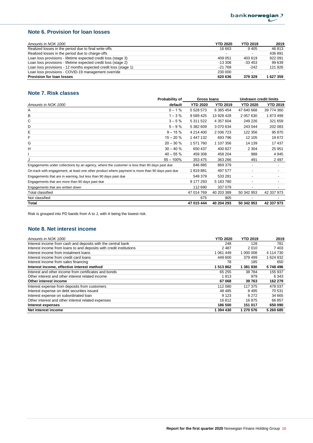## **Note 6. Provision for loan losses**

| Amounts in NOK 1000                                             | <b>YTD 2020</b> | <b>YTD 2019</b>          | 2019      |
|-----------------------------------------------------------------|-----------------|--------------------------|-----------|
| Realized losses in the period due to final write-offs           | 16 663          | 9405                     | 46 813    |
| Realized losses in the period due to charge-offs                |                 | $\overline{\phantom{a}}$ | 436891    |
| Loan loss provisions - lifetime expected credit loss (stage 3)  | 409 051         | 403 619                  | 922 091   |
| Loan loss provisions - lifetime expected credit loss (stage 2)  | $-13.308$       | $-33453$                 | 99 639    |
| Loan loss provisions - 12 months expected credit loss (stage 1) | $-21769$        | $-242$                   | 121 926   |
| Loan loss provisions - COVID-19 management override             | 230 000         | $\overline{\phantom{a}}$ |           |
| <b>Provision for loan losses</b>                                | 620 636         | 379 329                  | 1 627 359 |

## **Note 7. Risk classes**

|                                                                                                  | Probability of | <b>Gross loans</b> |                 | <b>Undrawn credit limits</b> |                          |
|--------------------------------------------------------------------------------------------------|----------------|--------------------|-----------------|------------------------------|--------------------------|
| Amounts in NOK 1000                                                                              | default        | <b>YTD 2020</b>    | <b>YTD 2019</b> | <b>YTD 2020</b>              | <b>YTD 2019</b>          |
| Α                                                                                                | $0 - 1%$       | 5 5 28 5 73        | 6 3 65 4 54     | 47 640 668                   | 39 774 360               |
| в                                                                                                | $1 - 3%$       | 9 589 425          | 13 928 428      | 2 057 630                    | 1873499                  |
| С                                                                                                | $3 - 5%$       | 5 311 522          | 4 357 604       | 249 226                      | 321 659                  |
| D                                                                                                | $5 - 9%$       | 5 382 609          | 3 070 634       | 243 044                      | 202 083                  |
| Е                                                                                                | $9 - 15%$      | 4 214 400          | 2 036 723       | 122 356                      | 95 870                   |
| F                                                                                                | $15 - 20%$     | 1 447 132          | 693 796         | 12 105                       | 19672                    |
| G                                                                                                | $20 - 30%$     | 1 571 760          | 1 107 356       | 14 139                       | 17437                    |
| Н                                                                                                | $30 - 40%$     | 650 437            | 400 827         | 2 3 0 4                      | 25 951                   |
|                                                                                                  | $40 - 55%$     | 459 308            | 458 204         | 988                          | 4 9 4 5                  |
|                                                                                                  | $55 - 100\%$   | 353 475            | 363 266         | 491                          | 2 4 9 7                  |
| Engagements under collections by an agency, where the customer is less than 90 days past due     |                | 846 885            | 869 379         |                              | $\overline{\phantom{0}}$ |
| On track with engagement, at least one other product where payment is more than 90 days past due |                | 1819881            | 497 577         | $\overline{\phantom{0}}$     | -                        |
| Engagements that are in warning, but less than 90 days past due                                  |                | 549 379            | 533 281         |                              |                          |
| Engagements that are more than 90 days past due                                                  |                | 9 177 293          | 5 183 780       |                              |                          |
| Engagements that are written down                                                                |                | 112 690            | 337 079         |                              |                          |
| <b>Total classified</b>                                                                          |                | 47 014 769         | 40 203 389      | 50 342 953                   | 42 337 973               |
| Not classified                                                                                   |                | 675                | 905             |                              |                          |
| Total                                                                                            |                | 47 015 444         | 40 204 293      | 50 342 953                   | 42 337 973               |

Risk is grouped into PD bands from A to J, with A being the lowest risk.

## **Note 8. Net interest income**

| Amounts in NOK 1000                                                 | <b>YTD 2020</b> | <b>YTD 2019</b> | 2019      |
|---------------------------------------------------------------------|-----------------|-----------------|-----------|
| Interest income from cash and deposits with the central bank        | 248             | 128             | 781       |
| Interest income from loans to and deposits with credit institutions | 2487            | 2 0 1 0         | 7 4 0 3   |
| Interest income from instalment loans                               | 1 061 449       | 1 000 008       | 4 114 730 |
| Interest income from credit card loans                              | 449 600         | 379 499         | 1 624 932 |
| Interest income from sales financing                                | 78              | 185             | 650       |
| Interest income, effective interest method                          | 1 513 862       | 1 381 830       | 5748496   |
| Interest and other income from certificates and bonds               | 65 255          | 38784           | 155 937   |
| Other interest and other interest related income                    | 1813            | 979             | 6 3 4 3   |
| Other interest income                                               | 67068           | 39 763          | 162 279   |
| Interest expense from deposits from customers                       | 112 080         | 117 375         | 478 037   |
| Interest expense on debt securities issued                          | 48 4 8 5        | 8495            | 70 531    |
| Interest expense on subordinated loan                               | 9 1 2 3         | 8 2 7 2         | 34 665    |
| Other interest and other interest related expenses                  | 16812           | 16875           | 66 857    |
| Interest expenses                                                   | 186 500         | 151 017         | 650 090   |
| Net interest income                                                 | 1 394 430       | 1 270 576       | 5 260 685 |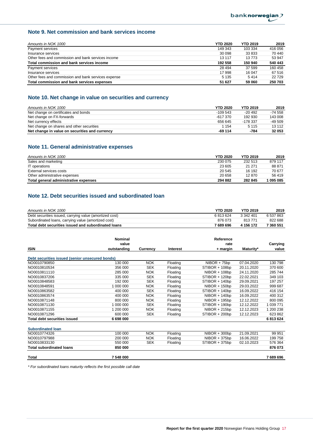## **Note 9. Net commission and bank services income**

| Amounts in NOK 1000                                 | <b>YTD 2020</b> | <b>YTD 2019</b> | 2019    |
|-----------------------------------------------------|-----------------|-----------------|---------|
| Payment services                                    | 149 343         | 103 334         | 416 056 |
| Insurance services                                  | 30 098          | 33 833          | 70 440  |
| Other fees and commission and bank services income  | 13 117          | 13773           | 53 947  |
| Total commission and bank services income           | 192 558         | 150 940         | 540 443 |
| Payment services                                    | 28 4 94         | 37 599          | 160 458 |
| Insurance services                                  | 17 998          | 16 047          | 67 516  |
| Other fees and commission and bank services expense | 5 1 3 5         | 5414            | 22729   |
| Total commission and bank services expenses         | 51 627          | 59 060          | 250 703 |

## **Note 10. Net change in value on securities and currency**

| Amounts in NOK 1000                            | <b>YTD 2020</b> | <b>YTD 2019</b> | 2019      |
|------------------------------------------------|-----------------|-----------------|-----------|
| Net change on certificates and bonds           | $-109543$       | $-20.492$       | $-74.558$ |
| Net change on FX-forwards                      | $-617.370$      | 192 930         | 143 008   |
| Net currency effects                           | 656 645         | $-178.337$      | $-49.509$ |
| Net change on shares and other securities      | 1 1 5 4         | 5 1 1 5         | 13 112    |
| Net change in value on securities and currency | $-69114$        | -784            | 32 053    |

## **Note 11. General administrative expenses**

| Amounts in NOK 1000                   | <b>YTD 2020</b> | <b>YTD 2019</b> | 2019    |
|---------------------------------------|-----------------|-----------------|---------|
| Sales and marketing                   | 230 075         | 232 513         | 879 117 |
| IT operations                         | 23 605          | 21 271          | 88 871  |
| External services costs               | 20 545          | 16 192          | 70 677  |
| Other administrative expenses         | 20 658          | 12870           | 56 419  |
| Total general administrative expenses | 294 882         | 282 845         | 1095085 |

## **Note 12. Debt securities issued and subordinated loan**

| Amounts in NOK 1000                                     | <b>YTD 2020</b> | <b>YTD 2019</b> | 2019      |
|---------------------------------------------------------|-----------------|-----------------|-----------|
| Debt securities issued, carrying value (amortized cost) | 6813624         | 3 342 401       | 6 537 863 |
| Subordinated loans, carrying value (amortized cost)     | 876 073         | 813 771         | 822 688   |
| Total debt securities issued and subordinated loans     | 7 689 696       | 4 156 172       | 7 360 551 |

|                                                 | <b>Nominal</b> |            |                 | Reference       |            |           |
|-------------------------------------------------|----------------|------------|-----------------|-----------------|------------|-----------|
|                                                 | value          |            |                 | rate            |            | Carrying  |
| <b>ISIN</b>                                     | outstanding    | Currency   | <b>Interest</b> | + margin        | Maturity*  | value     |
| Debt securities issued (senior unsecured bonds) |                |            |                 |                 |            |           |
| NO0010790850                                    | 130 000        | <b>NOK</b> | Floating        | $NIBOR + 75bp$  | 07.04.2020 | 130 798   |
| NO0010810534                                    | 356 000        | <b>SEK</b> | Floating        | STIBOR + 108bp  | 20.11.2020 | 370 600   |
| NO0010811110                                    | 285 000        | <b>NOK</b> | Floating        | $NIBOR + 108bp$ | 24.11.2020 | 285 744   |
| NO0010837206                                    | 335 000        | <b>SEK</b> | Floating        | STIBOR + 120bp  | 22.02.2021 | 349 103   |
| NO0010848583                                    | 192 000        | <b>SEK</b> | Floating        | STIBOR + 140bp  | 29.09.2021 | 197 257   |
| NO0010848591                                    | 1 000 000      | <b>NOK</b> | Floating        | $NIBOR + 150bp$ | 29.03.2022 | 999 687   |
| NO0010863582                                    | 400 000        | <b>SEK</b> | Floating        | STIBOR + 140bp  | 16.09.2022 | 416 154   |
| NO0010863574                                    | 400 000        | <b>NOK</b> | Floating        | $NIBOR + 140bp$ | 16.09.2022 | 400 312   |
| NO0010871148                                    | 800 000        | <b>NOK</b> | Floating        | $NIBOR + 195bp$ | 12.12.2022 | 800 095   |
| NO0010871130                                    | 1 000 000      | <b>SEK</b> | Floating        | STIBOR + 190bp  | 12.12.2022 | 1 039 771 |
| NO0010871155                                    | 1 200 000      | <b>NOK</b> | Floating        | $NIBOR + 215bp$ | 12.12.2023 | 1 200 238 |
| NO0010871296                                    | 600 000        | <b>SEK</b> | Floating        | STIBOR + 200bp  | 12.12.2023 | 623 862   |
| <b>Total debt securities issued</b>             | 6 698 000      |            |                 |                 |            | 6813624   |
| <b>Subordinated loan</b>                        |                |            |                 |                 |            |           |
| NO0010774326                                    | 100 000        | <b>NOK</b> | Floating        | $NIBOR + 300bp$ | 21.09.2021 | 99 951    |
| NO0010797988                                    | 200 000        | <b>NOK</b> | Floating        | $NIBOR + 375bp$ | 16.06.2022 | 199 758   |
| NO0010833130                                    | 550 000        | <b>SEK</b> | Floating        | STIBOR + 375bp  | 02.10.2023 | 576 364   |
| <b>Total subordinated loans</b>                 | 850 000        |            |                 |                 |            | 876 073   |
| Total                                           | 7 548 000      |            |                 |                 |            | 7689696   |

*\* For subordinated loans maturity reflects the first possible call date*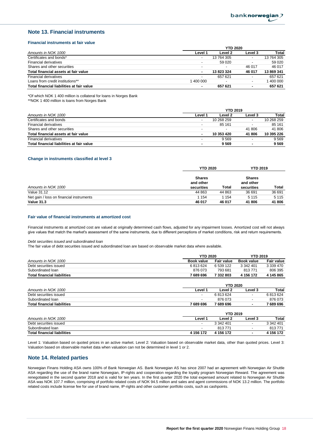### **Note 13. Financial instruments**

#### **Financial instruments at fair value**

|                                           | <b>YTD 2020</b>          |                |                          |            |  |
|-------------------------------------------|--------------------------|----------------|--------------------------|------------|--|
| Amounts in NOK 1000                       | Level 1                  | Level 2        | Level 3                  | Total      |  |
| Certificates and bonds*                   | $\overline{\phantom{a}}$ | 13 764 305     | $\overline{\phantom{a}}$ | 13 764 305 |  |
| <b>Financial derivatives</b>              | $\overline{\phantom{a}}$ | 59 0 20        | $\overline{\phantom{a}}$ | 59 020     |  |
| Shares and other securities               | $\overline{\phantom{a}}$ | $\blacksquare$ | 46 017                   | 46 017     |  |
| Total financial assets at fair value      |                          | 13823324       | 46 017                   | 13 869 341 |  |
| <b>Financial derivatives</b>              | $\overline{\phantom{a}}$ | 657 621        | $\overline{\phantom{a}}$ | 657 621    |  |
| Loans from credit institutions**          | 1 400 000                |                | $\overline{\phantom{a}}$ | 400 000    |  |
| Total financial liabilities at fair value |                          | 657 621        | ۰                        | 657 621    |  |

\*Of which NOK 1 400 million is collateral for loans in Norges Bank

\*\*NOK 1 400 million is loans from Norges Bank

|                                           | <b>YTD 2019</b>          |            |         |            |  |
|-------------------------------------------|--------------------------|------------|---------|------------|--|
| Amounts in NOK 1000                       | Level 1                  | Level 2    | Level 3 | Total      |  |
| Certificates and bonds                    | $\overline{\phantom{a}}$ | 10 268 259 |         | 10 268 259 |  |
| <b>Financial derivatives</b>              | $\overline{\phantom{a}}$ | 85 161     |         | 85 161     |  |
| Shares and other securities               | $\overline{\phantom{a}}$ |            | 41 806  | 41 806     |  |
| Total financial assets at fair value      | ۰                        | 10 353 420 | 41 806  | 10 395 226 |  |
| Financial derivatives                     |                          | 9569       |         | 9 5 6 9    |  |
| Total financial liabilities at fair value |                          | 9569       |         | 9 5 6 9    |  |

#### **Change in instruments classified at level 3**

|                                          | <b>YTD 2020</b>                          |        | <b>YTD 2019</b>                          |         |
|------------------------------------------|------------------------------------------|--------|------------------------------------------|---------|
| Amounts in NOK 1000                      | <b>Shares</b><br>and other<br>securities | Total  | <b>Shares</b><br>and other<br>securities | Total   |
| Value 31.12                              | 44 863                                   | 44 863 | 36 691                                   | 36 691  |
| Net gain / loss on financial instruments | 1 1 5 4                                  | 1 154  | 5 1 1 5                                  | 5 1 1 5 |
| <b>Value 31.3</b>                        | 46 017                                   | 46 017 | 41 806                                   | 41 806  |

#### **Fair value of financial instruments at amortized cost**

Financial instruments at amortized cost are valued at originally determined cash flows, adjusted for any impairment losses. Amortized cost will not always give values that match the market's assessment of the same instruments, due to different perceptions of market conditions, risk and return requirements.

#### *Debt securities issued and subordinated loan*

The fair value of debt securities issued and subordinated loan are based on observable market data where available.

Subordinated loan - 813 771 - 813 771

|                                    |                          | <b>YTD 2020</b>   |                          | <b>YTD 2019</b>   |
|------------------------------------|--------------------------|-------------------|--------------------------|-------------------|
| Amounts in NOK 1000                | <b>Book value</b>        | <b>Fair value</b> | <b>Book value</b>        | <b>Fair value</b> |
| Debt securities issued             | 6813624                  | 6 539 122         | 3 342 401                | 3 339 470         |
| Subordinated Ioan                  | 876 073                  | 793 681           | 813771                   | 806 395           |
| <b>Total financial liabilities</b> | 7 689 696                | 7 332 803         | 4 156 172                | 4 145 865         |
|                                    |                          | <b>YTD 2020</b>   |                          |                   |
| Amounts in NOK 1000                | Level 1                  | Level 2           | Level 3                  | Total             |
| Debt securities issued             | $\overline{\phantom{a}}$ | 6813624           | $\overline{\phantom{a}}$ | 6813624           |
| Subordinated Ioan                  | -                        | 876 073           |                          | 876 073           |
| <b>Total financial liabilities</b> | 7 689 696                | 7 689 696         | ۰                        | 7 689 696         |
|                                    |                          | <b>YTD 2019</b>   |                          |                   |
| Amounts in NOK 1000                | Level 1                  | Level 2           | Level 3                  | Total             |
| Debt securities issued             | -                        | 3 342 401         | $\overline{\phantom{a}}$ | 3 342 401         |
| Subordinated Ioan                  | $\overline{\phantom{a}}$ | 813771            | $\overline{\phantom{a}}$ | 813771            |

Level 1: Valuation based on quoted prices in an active market. Level 2: Valuation based on observable market data, other than quoted prices. Level 3: Valuation based on observable market data when valuation can not be determined in level 1 or 2.

**Total financial liabilities 4 156 172 4 156 172 - 4 156 172**

#### **Note 14. Related parties**

Norwegian Finans Holding ASA owns 100% of Bank Norwegian AS. Bank Norwegian AS has since 2007 had an agreement with Norwegian Air Shuttle ASA regarding the use of the brand name Norwegian, IP-rights and cooperation regarding the loyalty program Norwegian Reward. The agreement was renegotiated in the second quarter 2018 and is valid for ten years. In the first quarter 2020 the total expensed amount related to Norwegian Air Shuttle ASA was NOK 107.7 million, comprising of portfolio related costs of NOK 94.5 million and sales and agent commissions of NOK 13.2 million. The portfolio related costs include license fee for use of brand name, IP-rights and other customer portfolio costs, such as cashpoints.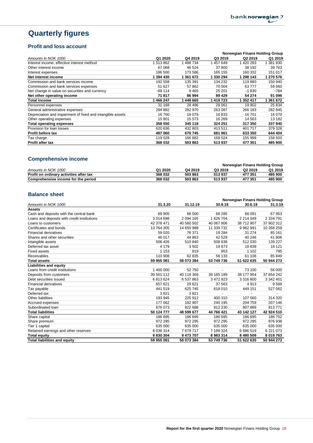# **Quarterly figures**

## **Profit and loss account**

|                                                            |           |         | Norwegian Finans Holding Group |                     |           |  |
|------------------------------------------------------------|-----------|---------|--------------------------------|---------------------|-----------|--|
| Amounts in NOK 1000                                        | Q1 2020   | Q4 2019 | Q3 2019                        | Q <sub>2</sub> 2019 | Q1 2019   |  |
| Interest income, effective interest method                 | 513 862   | 488 734 | 457 649                        | 420 283             | 381830    |  |
| Other interest income                                      | 67 068    | 46 524  | 37 800                         | 38 192              | 39 763    |  |
| Interest expenses                                          | 186 500   | 173 586 | 165 155                        | 160 332             | 151 017   |  |
| Net interest income                                        | 1 394 430 | 361 672 | 330 294                        | 298 143             | 1 270 576 |  |
| Commission and bank services income                        | 192 558   | 135 391 | 134 232                        | 119880              | 150 940   |  |
| Commission and bank services expenses                      | 51 627    | 57 862  | 70 004                         | 63777               | 59 060    |  |
| Net change in value on securities and currency             | $-69114$  | 9465    | 25 201                         | $-1830$             | -784      |  |
| Net other operating income                                 | 71817     | 86 994  | 89 4 29                        | 54 274              | 91 096    |  |
| Total income                                               | 466 247   | 448 665 | 419 723                        | 1 352 417           | 1 361 672 |  |
| Personnel expenses                                         | 31 168    | 28 49 6 | 28 061                         | 19 902              | 25 834    |  |
| General administrative expenses                            | 294 882   | 282 970 | 263 087                        | 266 183             | 282 845   |  |
| Depreciation and impairment of fixed and intangible assets | 16 700    | 18 079  | 16833                          | 16701               | 16 079    |  |
| Other operating expenses                                   | 15 801    | 15 573  | 16 269                         | 14 5 63             | 13 182    |  |
| Total operating expenses                                   | 358 550   | 345 118 | 324 251                        | 317 350             | 337 940   |  |
| Provision for loan losses                                  | 620 636   | 432 803 | 413511                         | 401 717             | 379 328   |  |
| <b>Profit before tax</b>                                   | 487 060   | 670 745 | 681 961                        | 633 350             | 644 404   |  |
| Tax charge                                                 | 119 028   | 166 882 | 168 024                        | 155 999             | 158 503   |  |
| Profit after tax                                           | 368 032   | 503863  | 513937                         | 477 351             | 485 900   |  |

## **Comprehensive income**

|                                         |         |         | <b>Norwegian Finans Holding Group</b> |                     |         |  |
|-----------------------------------------|---------|---------|---------------------------------------|---------------------|---------|--|
| Amounts in NOK 1000                     | Q1 2020 | Q4 2019 | Q3 2019                               | Q <sub>2</sub> 2019 | Q1 2019 |  |
| Profit on ordinary activities after tax | 368 032 | 503863  | 513937                                | 477 351             | 485 900 |  |
| Comprehensive income for the period     | 368 032 | 503863  | 513937                                | 477 351             | 485 900 |  |

## **Balance sheet**

|                                             |            |             | Norwegian Finans Holding Group |               |               |  |
|---------------------------------------------|------------|-------------|--------------------------------|---------------|---------------|--|
| Amounts in NOK 1000                         | 31.3.20    | 31.12.19    | 30.9.19                        | 30.6.19       | 31.3.19       |  |
| <b>Assets</b>                               |            |             |                                |               |               |  |
| Cash and deposits with the central bank     | 69 905     | 68 500      | 68 285                         | 68 091        | 67 953        |  |
| Loans and deposits with credit institutions | 3 014 698  | 2 0 94 1 65 | 1 626 704                      | 2 2 1 4 0 4 9 | 2 334 791     |  |
| Loans to customers                          | 42 378 471 | 40 560 502  | 40 067 806                     | 38 712 907    | 37 902 312    |  |
| Certificates and bonds                      | 13 764 305 | 14 650 988  | 11 339 732                     | 9 9 6 2 9 9 1 | 10 268 259    |  |
| <b>Financial derivatives</b>                | 59 0 20    | 76 371      | 19 284                         | 31 274        | 85 161        |  |
| Shares and other securities                 | 46 017     | 44 863      | 42 5 29                        | 40 246        | 41 806        |  |
| Intangible assets                           | 506 426    | 510 840     | 508 638                        | 512 030       | 139 227       |  |
| Deferred tax asset                          | 4 1 7 9    | 3502        | 19673                          | 18838         | 18 121        |  |
| <b>Fixed assets</b>                         | 1 1 5 3    | 819         | 953                            | 1 1 0 2       | 795           |  |
| Receivables                                 | 110 908    | 62 835      | 56 133                         | 61 108        | 85 849        |  |
| <b>Total assets</b>                         | 59 955 081 | 58 073 384  | 53 749 736                     | 51 622 635    | 50 944 273    |  |
| <b>Liabilities and equity</b>               |            |             |                                |               |               |  |
| Loans from credit institutions              | 1 400 000  | 52 750      |                                | 73 100        | 56 000        |  |
| Deposits from customers                     | 39 561 112 | 40 118 369  | 39 185 189                     | 38 177 954    | 37 654 242    |  |
| Debt securities issued                      | 6813624    | 6 537 863   | 3 472 923                      | 3 316 800     | 3 342 401     |  |
| <b>Financial derivatives</b>                | 657 621    | 29 621      | 37 563                         | 4913          | 9569          |  |
| Tax payable                                 | 441 519    | 625 745     | 618 010                        | 449 151       | 527 062       |  |
| Deferred tax                                | 3821       | 3821        |                                |               |               |  |
| Other liabilities                           | 193 945    | 225 912     | 400 310                        | 107 560       | 314 320       |  |
| Accrued expenses                            | 177 062    | 182 907     | 240 195                        | 204 759       | 207 146       |  |
| Subordinated Ioan                           | 876 073    | 822 688     | 812 230                        | 807889        | 813771        |  |
| <b>Total liabilities</b>                    | 50 124 777 | 48 599 677  | 44 766 421                     | 43 142 127    | 42 924 510    |  |
| Share capital                               | 186 695    | 186 695     | 186 695                        | 186 695       | 186 752       |  |
| Share premium                               | 972 295    | 972 295     | 972 295                        | 972 295       | 976 938       |  |
| Tier 1 capital                              | 635 000    | 635 000     | 635 000                        | 635 000       | 635 000       |  |
| Retained earnings and other reserves        | 8 0 36 314 | 7679717     | 7 189 324                      | 6 686 519     | 6 2 2 1 0 7 3 |  |
| <b>Total equity</b>                         | 9830304    | 9 473 707   | 8983314                        | 8 480 509     | 8 019 763     |  |
| <b>Total liabilities and equity</b>         | 59 955 081 | 58 073 384  | 53 749 736                     | 51 622 635    | 50 944 273    |  |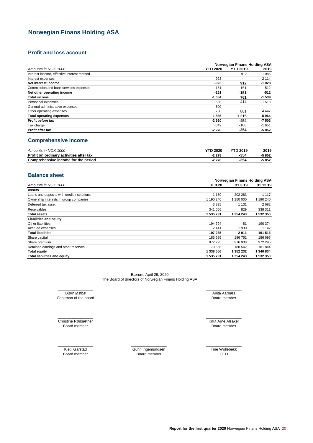## **Norwegian Finans Holding ASA**

## **Profit and loss account**

|                                            | Norwegian Finans Holding ASA |                          |                          |  |
|--------------------------------------------|------------------------------|--------------------------|--------------------------|--|
| Amounts in NOK 1000                        | <b>YTD 2020</b>              | <b>YTD 2019</b>          | 2019                     |  |
| Interest income, effective interest method |                              | 912                      | 1086                     |  |
| Interest expenses                          | 923                          |                          | 2 1 1 4                  |  |
| Net interest income                        | -923                         | 912                      | $-1028$                  |  |
| Commission and bank services expenses      | 161                          | 151                      | 512                      |  |
| Net other operating income                 | $-161$                       | $-151$                   | $-512$                   |  |
| <b>Total income</b>                        | $-1084$                      | 761                      | $-1539$                  |  |
| Personnel expenses                         | 556                          | 414                      | 1518                     |  |
| General administrative expenses            | 500                          | $\overline{\phantom{0}}$ | $\overline{\phantom{a}}$ |  |
| Other operating expenses                   | 780                          | 801                      | 4 4 4 7                  |  |
| <b>Total operating expenses</b>            | 1836                         | 1 2 1 5                  | 5964                     |  |
| Profit before tax                          | $-2920$                      | $-454$                   | $-7503$                  |  |
| Tax charge                                 | $-642$                       | $-100$                   | $-1651$                  |  |
| Profit after tax                           | $-2278$                      | $-354$                   | -5 852                   |  |

### **Comprehensive income**

| Amounts in NOK 1000                     | <b>YTD 2020</b> | <b>YTD 2019</b> | 2019  |
|-----------------------------------------|-----------------|-----------------|-------|
| Profit on ordinary activities after tax | $-2278$         | -354            | 5 852 |
| Comprehensive income for the period     | $-2278$         | -354            | 5 852 |

### **Balance sheet**

|                                             |           | Norwegian Finans Holding ASA |           |  |  |
|---------------------------------------------|-----------|------------------------------|-----------|--|--|
| Amounts in NOK 1000                         | 31.3.20   | 31.3.19                      | 31.12.19  |  |  |
| Assets                                      |           |                              |           |  |  |
| Loans and deposits with credit institutions | 1 1 6 0   | 202 283                      | 1 1 1 7   |  |  |
| Ownership interests in group companies      | 1 190 240 | 1 150 000                    | 1 190 240 |  |  |
| Deferred tax asset                          | 3 3 2 5   | 1 1 3 1                      | 2682      |  |  |
| Receivables                                 | 341 066   | 829                          | 338 311   |  |  |
| <b>Total assets</b>                         | 1 535 791 | 1 354 243                    | 1 532 350 |  |  |
| Liabilities and equity                      |           |                              |           |  |  |
| Other liabilities                           | 194 794   | 81                           | 190 374   |  |  |
| Accrued expenses                            | 2441      | 1930                         | 1 142     |  |  |
| <b>Total liabilities</b>                    | 197 235   | 2011                         | 191 516   |  |  |
| Share capital                               | 186 695   | 186752                       | 186 695   |  |  |
| Share premium                               | 972 295   | 976 938                      | 972 295   |  |  |
| Retained earnings and other reserves        | 179 566   | 188 542                      | 181 844   |  |  |
| <b>Total equity</b>                         | 1 338 556 | 1 352 232                    | 1340834   |  |  |
| <b>Total liabilities and equity</b>         | 1 535 791 | 1 354 243                    | 1 532 350 |  |  |

Bærum, April 29, 2020 The Board of directors of Norwegian Finans Holding ASA

Bjørn Østbø **Anita Aarnæs** \_\_\_\_\_\_\_\_\_\_\_\_\_\_\_\_\_ \_\_\_\_\_\_\_\_\_\_\_\_\_\_\_\_\_ Chairman of the board

Board member  $\overline{\phantom{a}}$  ,  $\overline{\phantom{a}}$  ,  $\overline{\phantom{a}}$  ,  $\overline{\phantom{a}}$  ,  $\overline{\phantom{a}}$  ,  $\overline{\phantom{a}}$  ,  $\overline{\phantom{a}}$  ,  $\overline{\phantom{a}}$  ,  $\overline{\phantom{a}}$  ,  $\overline{\phantom{a}}$  ,  $\overline{\phantom{a}}$  ,  $\overline{\phantom{a}}$  ,  $\overline{\phantom{a}}$  ,  $\overline{\phantom{a}}$  ,  $\overline{\phantom{a}}$  ,  $\overline{\phantom{a}}$ Christine Rødsæther

 $\overline{\phantom{a}}$  ,  $\overline{\phantom{a}}$  ,  $\overline{\phantom{a}}$  ,  $\overline{\phantom{a}}$  ,  $\overline{\phantom{a}}$  ,  $\overline{\phantom{a}}$  ,  $\overline{\phantom{a}}$  ,  $\overline{\phantom{a}}$  ,  $\overline{\phantom{a}}$  ,  $\overline{\phantom{a}}$  ,  $\overline{\phantom{a}}$  ,  $\overline{\phantom{a}}$  ,  $\overline{\phantom{a}}$  ,  $\overline{\phantom{a}}$  ,  $\overline{\phantom{a}}$  ,  $\overline{\phantom{a}}$ Kjetil Garstad

Board member Board member CEO Gunn Ingemundsen  $\frac{1}{2}$  ,  $\frac{1}{2}$  ,  $\frac{1}{2}$  ,  $\frac{1}{2}$  ,  $\frac{1}{2}$  ,  $\frac{1}{2}$  ,  $\frac{1}{2}$  ,  $\frac{1}{2}$  ,  $\frac{1}{2}$  ,  $\frac{1}{2}$ 

Board member

Knut Arne Alsaker Board member  $\frac{1}{2}$  ,  $\frac{1}{2}$  ,  $\frac{1}{2}$  ,  $\frac{1}{2}$  ,  $\frac{1}{2}$  ,  $\frac{1}{2}$  ,  $\frac{1}{2}$  ,  $\frac{1}{2}$  ,  $\frac{1}{2}$  ,  $\frac{1}{2}$ 

 $\frac{1}{2}$  ,  $\frac{1}{2}$  ,  $\frac{1}{2}$  ,  $\frac{1}{2}$  ,  $\frac{1}{2}$  ,  $\frac{1}{2}$  ,  $\frac{1}{2}$  ,  $\frac{1}{2}$  ,  $\frac{1}{2}$  ,  $\frac{1}{2}$ Tine Wollebekk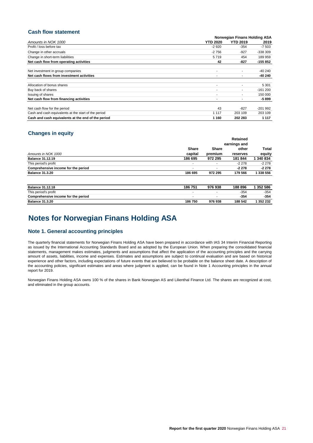## **Cash flow statement**

|                                                      |                 | Norwegian Finans Holding ASA |           |  |  |
|------------------------------------------------------|-----------------|------------------------------|-----------|--|--|
| Amounts in NOK 1000                                  | <b>YTD 2020</b> | <b>YTD 2019</b>              | 2019      |  |  |
| Profit / loss before tax                             | $-2920$         | $-354$                       | -7 503    |  |  |
| Change in other accruals                             | $-2756$         | $-927$                       | $-338309$ |  |  |
| Change in short-term liabilities                     | 5719            | 454                          | 189 959   |  |  |
| Net cash flow from operating activities              | 42              | $-827$                       | $-155852$ |  |  |
|                                                      |                 |                              |           |  |  |
| Net investment in group companies                    |                 |                              | $-40240$  |  |  |
| Net cash flows from investment activities            |                 |                              | -40 240   |  |  |
|                                                      |                 |                              |           |  |  |
| Allocation of bonus shares                           |                 |                              | 5 3 0 1   |  |  |
| Buy back of shares                                   | ۰               |                              | $-161200$ |  |  |
| Issuing of shares                                    | ۰.              |                              | 150 000   |  |  |
| Net cash flow from financing activities              |                 |                              | -5 899    |  |  |
|                                                      |                 |                              |           |  |  |
| Net cash flow for the period                         | 43              | $-827$                       | $-201992$ |  |  |
| Cash and cash equivalents at the start of the period | 1 1 1 7         | 203 109                      | 203 109   |  |  |
| Cash and cash equivalents at the end of the period   | 1 1 6 0         | 202 283                      | 1 1 1 7   |  |  |

## **Changes in equity**

|                                     |                          |                          | Retained |           |
|-------------------------------------|--------------------------|--------------------------|----------|-----------|
|                                     |                          | earnings and             |          |           |
|                                     | <b>Share</b>             | <b>Share</b>             | other    | Total     |
| Amounts in NOK 1000                 | capital                  | premium                  | reserves | equity    |
| <b>Balance 31.12.19</b>             | 186 695                  | 972 295                  | 181 844  | 1 340 834 |
| This period's profit                | $\overline{\phantom{a}}$ | ٠                        | $-2278$  | $-2278$   |
| Comprehensive income for the period | $\overline{\phantom{a}}$ | $\overline{\phantom{a}}$ | $-2278$  | $-2278$   |
| <b>Balance 31.3.20</b>              | 186 695                  | 972 295                  | 179 566  | 1 338 556 |
| <b>Balance 31.12.18</b>             | 186 751                  | 976938                   | 188 896  | 1 352 586 |
| This period's profit                | $\overline{\phantom{a}}$ |                          | $-354$   | $-354$    |
| Comprehensive income for the period | $\overline{\phantom{a}}$ | ٠                        | $-354$   | -354      |
| <b>Balance 31.3.20</b>              | 186750                   | 976938                   | 188 542  | 1 352 232 |

## **Notes for Norwegian Finans Holding ASA**

### **Note 1. General accounting principles**

The quarterly financial statements for Norwegian Finans Holding ASA have been prepared in accordance with IAS 34 Interim Financial Reporting as issued by the International Accounting Standards Board and as adopted by the European Union. When preparing the consolidated financial statements, management makes estimates, judgments and assumptions that affect the application of the accounting principles and the carrying amount of assets, liabilities, income and expenses. Estimates and assumptions are subject to continual evaluation and are based on historical experience and other factors, including expectations of future events that are believed to be probable on the balance sheet date. A description of the accounting policies, significant estimates and areas where judgment is applied, can be found in Note 1 Accounting principles in the annual report for 2019.

Norwegian Finans Holding ASA owns 100 % of the shares in Bank Norwegian AS and Lilienthal Finance Ltd. The shares are recognized at cost, and eliminated in the group accounts.